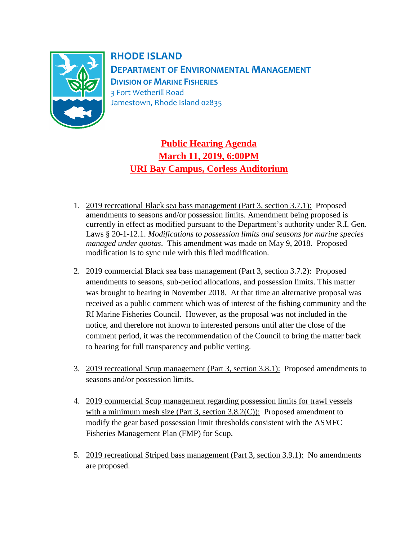

**RHODE ISLAND DEPARTMENT OF ENVIRONMENTAL MANAGEMENT DIVISION OF MARINE FISHERIES** 3 Fort Wetherill Road Jamestown, Rhode Island 02835

**Public Hearing Agenda March 11, 2019, 6:00PM URI Bay Campus, Corless Auditorium**

- 1. 2019 recreational Black sea bass management (Part 3, section 3.7.1): Proposed amendments to seasons and/or possession limits. Amendment being proposed is currently in effect as modified pursuant to the Department's authority under R.I. Gen. Laws § 20-1-12.1. *Modifications to possession limits and seasons for marine species managed under quotas*. This amendment was made on May 9, 2018. Proposed modification is to sync rule with this filed modification.
- 2. 2019 commercial Black sea bass management (Part 3, section 3.7.2): Proposed amendments to seasons, sub-period allocations, and possession limits. This matter was brought to hearing in November 2018. At that time an alternative proposal was received as a public comment which was of interest of the fishing community and the RI Marine Fisheries Council. However, as the proposal was not included in the notice, and therefore not known to interested persons until after the close of the comment period, it was the recommendation of the Council to bring the matter back to hearing for full transparency and public vetting.
- 3. 2019 recreational Scup management (Part 3, section 3.8.1): Proposed amendments to seasons and/or possession limits.
- 4. 2019 commercial Scup management regarding possession limits for trawl vessels with a minimum mesh size (Part 3, section  $3.8.2(C)$ ): Proposed amendment to modify the gear based possession limit thresholds consistent with the ASMFC Fisheries Management Plan (FMP) for Scup.
- 5. 2019 recreational Striped bass management (Part 3, section 3.9.1): No amendments are proposed.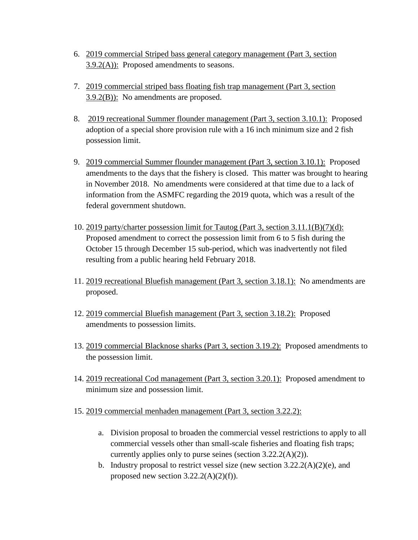- 6. 2019 commercial Striped bass general category management (Part 3, section  $3.9.2(A)$ : Proposed amendments to seasons.
- 7. 2019 commercial striped bass floating fish trap management (Part 3, section  $3.9.2(B)$ : No amendments are proposed.
- 8. 2019 recreational Summer flounder management (Part 3, section 3.10.1): Proposed adoption of a special shore provision rule with a 16 inch minimum size and 2 fish possession limit.
- 9. 2019 commercial Summer flounder management (Part 3, section 3.10.1): Proposed amendments to the days that the fishery is closed. This matter was brought to hearing in November 2018. No amendments were considered at that time due to a lack of information from the ASMFC regarding the 2019 quota, which was a result of the federal government shutdown.
- 10. 2019 party/charter possession limit for Tautog (Part 3, section 3.11.1(B)(7)(d): Proposed amendment to correct the possession limit from 6 to 5 fish during the October 15 through December 15 sub-period, which was inadvertently not filed resulting from a public hearing held February 2018.
- 11. 2019 recreational Bluefish management (Part 3, section 3.18.1): No amendments are proposed.
- 12. 2019 commercial Bluefish management (Part 3, section 3.18.2): Proposed amendments to possession limits.
- 13. 2019 commercial Blacknose sharks (Part 3, section 3.19.2): Proposed amendments to the possession limit.
- 14. 2019 recreational Cod management (Part 3, section 3.20.1): Proposed amendment to minimum size and possession limit.
- 15. 2019 commercial menhaden management (Part 3, section 3.22.2):
	- a. Division proposal to broaden the commercial vessel restrictions to apply to all commercial vessels other than small-scale fisheries and floating fish traps; currently applies only to purse seines (section 3.22.2(A)(2)).
	- b. Industry proposal to restrict vessel size (new section  $3.22.2(A)(2)(e)$ , and proposed new section  $3.22.2(A)(2)(f)$ .